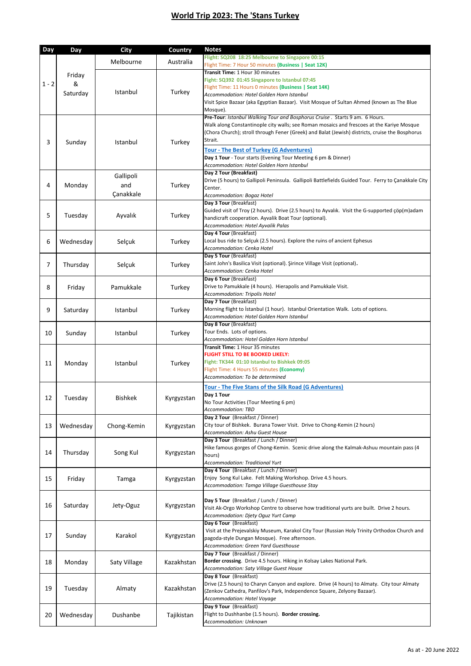## **World Trip 2023: The 'Stans Turkey**

| Day     | <b>Day</b>  | <b>City</b>    | <b>Country</b>             | <b>Notes</b>                                                                                                                                                                                 |
|---------|-------------|----------------|----------------------------|----------------------------------------------------------------------------------------------------------------------------------------------------------------------------------------------|
|         |             | Melbourne      | Australia                  | Flight: SQ208 18:25 Melbourne to Singapore 00:15<br>Flight Time: 7 Hour 50 minutes (Business   Seat 12K)                                                                                     |
|         | Friday<br>& |                |                            | Transit Time: 1 Hour 30 minutes                                                                                                                                                              |
| $1 - 2$ |             |                |                            | Fight: SQ392 01:45 Singapore to Istanbul 07:45                                                                                                                                               |
|         | Saturday    | Istanbul       | Turkey                     | Flight Time: 11 Hours 0 minutes (Business   Seat 14K)                                                                                                                                        |
|         |             |                |                            | Accommodation: Hotel Golden Horn Istanbul<br>Visit Spice Bazaar (aka Egyptian Bazaar). Visit Mosque of Sultan Ahmed (known as The Blue                                                       |
|         |             |                |                            | Mosque).                                                                                                                                                                                     |
|         | Sunday      | Istanbul       | Turkey                     | Pre-Tour: Istanbul Walking Tour and Bosphorus Cruise. Starts 9 am. 6 Hours.                                                                                                                  |
|         |             |                |                            | Walk along Constantinople city walls; see Roman mosaics and frescoes at the Kariye Mosque<br>(Chora Church); stroll through Fener (Greek) and Balat (Jewish) districts, cruise the Bosphorus |
| 3       |             |                |                            | Strait.                                                                                                                                                                                      |
|         |             |                |                            | <b>Tour - The Best of Turkey (G Adventures)</b>                                                                                                                                              |
|         |             |                |                            | Day 1 Tour - Tour starts (Evening Tour Meeting 6 pm & Dinner)                                                                                                                                |
|         |             |                |                            | Accommodation: Hotel Golden Horn Istanbul                                                                                                                                                    |
|         |             | Gallipoli      |                            | Day 2 Tour (Breakfast)<br>Drive (5 hours) to Gallipoli Peninsula. Gallipoli Battlefields Guided Tour. Ferry to Çanakkale City                                                                |
| 4       | Monday      | and            | Turkey                     | Center.                                                                                                                                                                                      |
|         |             | Çanakkale      | Accommodation: Bogaz Hotel |                                                                                                                                                                                              |
|         | Tuesday     | Ayvalık        | Turkey                     | Day 3 Tour (Breakfast)<br>Guided visit of Troy (2 hours). Drive (2.5 hours) to Ayvalık. Visit the G-supported çöp(m)adam                                                                     |
| 5       |             |                |                            | handicraft cooperation. Ayvalik Boat Tour (optional).                                                                                                                                        |
|         |             |                |                            | Accommodation: Hotel Ayvalik Palas                                                                                                                                                           |
|         |             |                |                            | Day 4 Tour (Breakfast)                                                                                                                                                                       |
| 6       | Wednesday   | Selçuk         | Turkey                     | Local bus ride to Selçuk (2.5 hours). Explore the ruins of ancient Ephesus<br>Accommodation: Cenka Hotel                                                                                     |
|         |             |                |                            | Day 5 Tour (Breakfast)                                                                                                                                                                       |
| 7       | Thursday    | Selçuk         | Turkey                     | Saint John's Basilica Visit (optional). Şirince Village Visit (optional).                                                                                                                    |
|         |             |                |                            | Accommodation: Cenka Hotel                                                                                                                                                                   |
|         |             |                |                            | Day 6 Tour (Breakfast)<br>Drive to Pamukkale (4 hours). Hierapolis and Pamukkale Visit.                                                                                                      |
| 8       | Friday      | Pamukkale      | Turkey                     | Accommodation: Tripolis Hotel                                                                                                                                                                |
|         |             |                |                            | Day 7 Tour (Breakfast)                                                                                                                                                                       |
| 9       | Saturday    | Istanbul       | Turkey                     | Morning flight to Istanbul (1 hour). Istanbul Orientation Walk. Lots of options.                                                                                                             |
|         |             |                |                            | Accommodation: Hotel Golden Horn Istanbul<br>Day 8 Tour (Breakfast)                                                                                                                          |
| 10      | Sunday      | Istanbul       | Turkey                     | Tour Ends. Lots of options.                                                                                                                                                                  |
|         |             |                |                            | Accommodation: Hotel Golden Horn Istanbul                                                                                                                                                    |
|         | Monday      | Istanbul       | Turkey                     | Transit Time: 1 Hour 35 minutes<br><b>FLIGHT STILL TO BE BOOKED LIKELY:</b>                                                                                                                  |
| 11      |             |                |                            | Fight: TK344 01:10 Istanbul to Bishkek 09:05                                                                                                                                                 |
|         |             |                |                            | Flight Time: 4 Hours 55 minutes (Economy)                                                                                                                                                    |
|         |             |                |                            | Accommodation: To be determined                                                                                                                                                              |
|         |             |                |                            | <b>Tour - The Five Stans of the Silk Road (G Adventures)</b><br>Day 1 Tour                                                                                                                   |
| 12      | Tuesday     | <b>Bishkek</b> | Kyrgyzstan                 | No Tour Activities (Tour Meeting 6 pm)                                                                                                                                                       |
|         |             |                |                            | Accommodation: TBD                                                                                                                                                                           |
|         |             |                |                            | Day 2 Tour (Breakfast / Dinner)<br>City tour of Bishkek. Burana Tower Visit. Drive to Chong-Kemin (2 hours)                                                                                  |
| 13      | Wednesday   | Chong-Kemin    | Kyrgyzstan                 | Accommodation: Ashu Guest House                                                                                                                                                              |
|         |             |                |                            | Day 3 Tour (Breakfast / Lunch / Dinner)                                                                                                                                                      |
| 14      | Thursday    | Song Kul       | Kyrgyzstan                 | Hike famous gorges of Chong-Kemin. Scenic drive along the Kalmak-Ashuu mountain pass (4                                                                                                      |
|         |             |                |                            | hours)<br>Accommodation: Traditional Yurt                                                                                                                                                    |
|         |             |                |                            | Day 4 Tour (Breakfast / Lunch / Dinner)                                                                                                                                                      |
| 15      | Friday      | Tamga          | Kyrgyzstan                 | Enjoy Song Kul Lake. Felt Making Workshop. Drive 4.5 hours.                                                                                                                                  |
|         |             |                |                            | Accommodation: Tamga Village Guesthouse Stay                                                                                                                                                 |
|         |             |                |                            | Day 5 Tour (Breakfast / Lunch / Dinner)                                                                                                                                                      |
| 16      | Saturday    | Jety-Oguz      | Kyrgyzstan                 | Visit Ak-Orgo Workshop Centre to observe how traditional yurts are built. Drive 2 hours.                                                                                                     |
|         |             |                |                            | Accommodation: Djety Oguz Yurt Camp                                                                                                                                                          |
|         |             |                |                            | Day 6 Tour (Breakfast)<br>Visit at the Prejevalskiy Museum, Karakol City Tour (Russian Holy Trinity Orthodox Church and                                                                      |
| 17      | Sunday      | Karakol        | Kyrgyzstan                 | pagoda-style Dungan Mosque). Free afternoon.                                                                                                                                                 |
|         |             |                |                            | Accommodation: Green Yard Guesthouse                                                                                                                                                         |
|         |             |                |                            | Day 7 Tour (Breakfast / Dinner)<br>Border crossing. Drive 4.5 hours. Hiking in Kolsay Lakes National Park.                                                                                   |
| 18      | Monday      | Saty Village   | Kazakhstan                 | Accommodation: Saty Village Guest House                                                                                                                                                      |
|         |             |                |                            | Day 8 Tour (Breakfast)                                                                                                                                                                       |
| 19      | Tuesday     | Almaty         | Kazakhstan                 | Drive (2.5 hours) to Charyn Canyon and explore. Drive (4 hours) to Almaty. City tour Almaty                                                                                                  |
|         |             |                |                            | (Zenkov Cathedra, Panfilov's Park, Independence Square, Zelyony Bazaar).<br>Accommodation: Hotel Voyage                                                                                      |
|         |             |                |                            | Day 9 Tour (Breakfast)                                                                                                                                                                       |
| 20      | Wednesday   | Dushanbe       | Tajikistan                 | Flight to Dushhanbe (1.5 hours). Border crossing.                                                                                                                                            |
|         |             |                |                            | Accommodation: Unknown                                                                                                                                                                       |